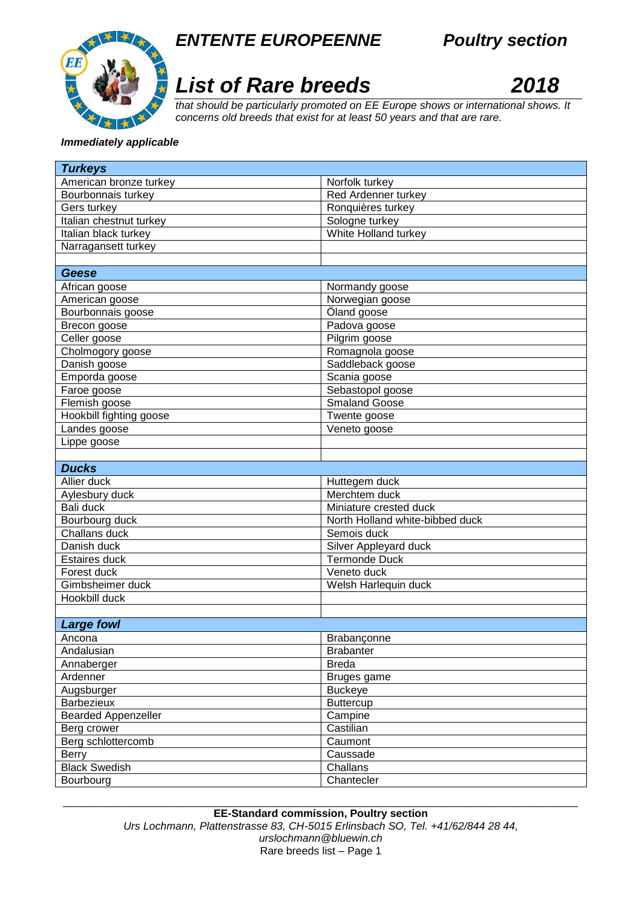



## *List of Rare breeds 2018*



*that should be particularly promoted on EE Europe shows or international shows. It concerns old breeds that exist for at least 50 years and that are rare.* 

## *Immediately applicable*

| <b>Turkeys</b>             |                                 |
|----------------------------|---------------------------------|
| American bronze turkey     | Norfolk turkey                  |
| Bourbonnais turkey         | Red Ardenner turkey             |
| Gers turkey                | Ronquières turkey               |
| Italian chestnut turkey    | Sologne turkey                  |
| Italian black turkey       | White Holland turkey            |
| Narragansett turkey        |                                 |
|                            |                                 |
| Geese                      |                                 |
| African goose              | Normandy goose                  |
| American goose             | Norwegian goose                 |
| Bourbonnais goose          | Öland goose                     |
| Brecon goose               | Padova goose                    |
| Celler goose               | Pilgrim goose                   |
| Cholmogory goose           | Romagnola goose                 |
| Danish goose               | Saddleback goose                |
| Emporda goose              | Scania goose                    |
| Faroe goose                | Sebastopol goose                |
| Flemish goose              | <b>Smaland Goose</b>            |
| Hookbill fighting goose    | Twente goose                    |
| Landes goose               | Veneto goose                    |
| Lippe goose                |                                 |
|                            |                                 |
| <b>Ducks</b>               |                                 |
| Allier duck                | Huttegem duck                   |
| Aylesbury duck             | Merchtem duck                   |
| Bali duck                  | Miniature crested duck          |
| Bourbourg duck             | North Holland white-bibbed duck |
| Challans duck              | Semois duck                     |
| Danish duck                | Silver Appleyard duck           |
| Estaires duck              | <b>Termonde Duck</b>            |
| Forest duck                | Veneto duck                     |
| Gimbsheimer duck           | Welsh Harlequin duck            |
| Hookbill duck              |                                 |
|                            |                                 |
| <b>Large fowl</b>          |                                 |
| Ancona                     | <b>Brabanconne</b>              |
| Andalusian                 | <b>Brabanter</b>                |
| Annaberger                 | <b>Breda</b>                    |
| Ardenner                   | Bruges game                     |
| Augsburger                 | <b>Buckeye</b>                  |
| Barbezieux                 | <b>Buttercup</b>                |
| <b>Bearded Appenzeller</b> | Campine                         |
| Berg crower                | Castilian                       |
| Berg schlottercomb         | Caumont                         |
| Berry                      | Caussade                        |
| <b>Black Swedish</b>       | Challans                        |
| Bourbourg                  | Chantecler                      |

\_\_\_\_\_\_\_\_\_\_\_\_\_\_\_\_\_\_\_\_\_\_\_\_\_\_\_\_\_\_\_\_\_\_\_\_\_\_\_\_\_\_\_\_\_\_\_\_\_\_\_\_\_\_\_\_\_\_\_\_\_\_\_\_\_\_\_\_\_\_\_\_\_\_\_\_\_\_\_\_\_\_\_\_\_\_ **EE-Standard commission, Poultry section** *Urs Lochmann, Plattenstrasse 83, CH-5015 Erlinsbach SO, Tel. +41/62/844 28 44, urslochmann@bluewin.ch*  Rare breeds list – Page 1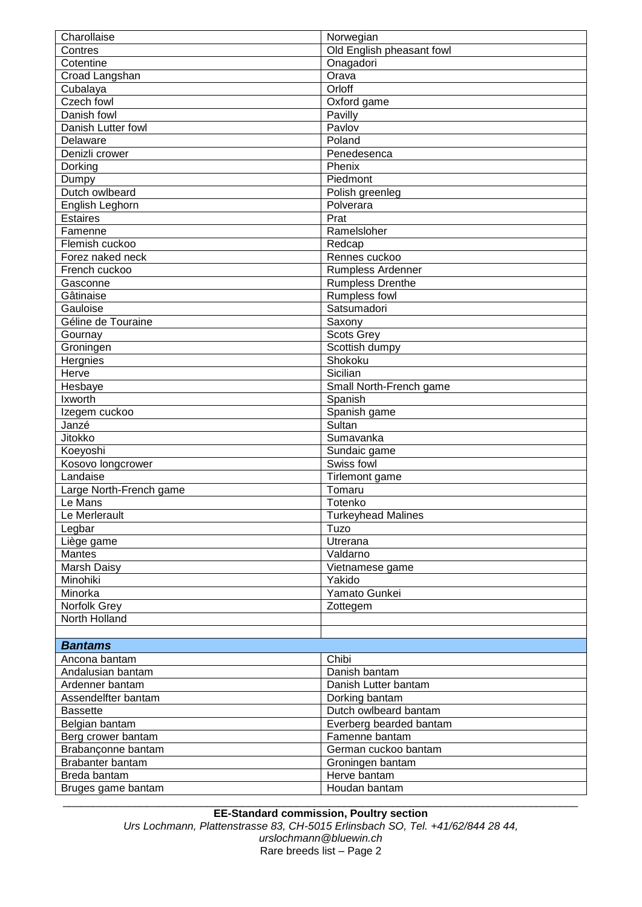| Charollaise             | Norwegian                 |
|-------------------------|---------------------------|
| Contres                 | Old English pheasant fowl |
| Cotentine               | Onagadori                 |
| Croad Langshan          | Orava                     |
| Cubalaya                | Orloff                    |
| Czech fowl              | Oxford game               |
| Danish fowl             | Pavilly                   |
| Danish Lutter fowl      | Pavlov                    |
| Delaware                | Poland                    |
| Denizli crower          | Penedesenca               |
| Dorking                 | Phenix                    |
| Dumpy                   | Piedmont                  |
| Dutch owlbeard          | Polish greenleg           |
| English Leghorn         | Polverara                 |
| <b>Estaires</b>         | Prat                      |
| Famenne                 | Ramelsloher               |
| Flemish cuckoo          | Redcap                    |
| Forez naked neck        | Rennes cuckoo             |
| French cuckoo           | Rumpless Ardenner         |
| Gasconne                | <b>Rumpless Drenthe</b>   |
| Gâtinaise               | Rumpless fowl             |
| Gauloise                | Satsumadori               |
| Géline de Touraine      | Saxony                    |
| Gournay                 | Scots Grey                |
| Groningen               | Scottish dumpy            |
| Hergnies                | Shokoku                   |
| Herve                   | Sicilian                  |
| Hesbaye                 | Small North-French game   |
| Ixworth                 | Spanish                   |
| Izegem cuckoo           | Spanish game              |
|                         |                           |
|                         |                           |
| Janzé                   | Sultan                    |
| Jitokko                 | Sumavanka                 |
| Koeyoshi                | Sundaic game              |
| Kosovo longcrower       | Swiss fowl                |
| Landaise                | Tirlemont game            |
| Large North-French game | Tomaru                    |
| Le Mans                 | Totenko                   |
| Le Merlerault           | <b>Turkeyhead Malines</b> |
| Legbar                  | Tuzo                      |
| Liège game              | Utrerana                  |
| <b>Mantes</b>           | Valdarno                  |
| Marsh Daisy             | Vietnamese game           |
| Minohiki                | Yakido                    |
| Minorka                 | Yamato Gunkei             |
| Norfolk Grey            | Zottegem                  |
| North Holland           |                           |
|                         |                           |
| <b>Bantams</b>          |                           |
| Ancona bantam           | Chibi                     |
| Andalusian bantam       | Danish bantam             |
| Ardenner bantam         | Danish Lutter bantam      |
| Assendelfter bantam     | Dorking bantam            |
| <b>Bassette</b>         | Dutch owlbeard bantam     |
| Belgian bantam          | Everberg bearded bantam   |
| Berg crower bantam      | Famenne bantam            |
| Brabançonne bantam      | German cuckoo bantam      |
| Brabanter bantam        | Groningen bantam          |
| Breda bantam            | Herve bantam              |
| Bruges game bantam      | Houdan bantam             |

**EE-Standard commission, Poultry section** *Urs Lochmann, Plattenstrasse 83, CH-5015 Erlinsbach SO, Tel. +41/62/844 28 44, urslochmann@bluewin.ch*  Rare breeds list – Page 2